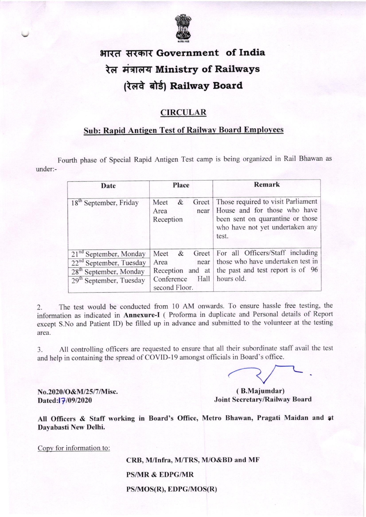

# भारत सरकार Government of India रेल मंत्रालय Ministry of Railways (रेलवे बोर्ड) Railway Board

### **CIRCULAR**

## Sub: Rapid Antigen Test of Railwav Board Emplovees

Fourth phase of Special Rapid Antigen Test camp is being organized in Rail Bhawan as under:-

| Date                                                                                                                                         | Place                                                                                   | Remark                                                                                                                                             |
|----------------------------------------------------------------------------------------------------------------------------------------------|-----------------------------------------------------------------------------------------|----------------------------------------------------------------------------------------------------------------------------------------------------|
| 18 <sup>th</sup> September, Friday                                                                                                           | &<br>Greet<br>Meet<br>Area<br>near<br>Reception                                         | Those required to visit Parliament<br>House and for those who have<br>been sent on quarantine or those<br>who have not yet undertaken any<br>test. |
| 21 <sup>nd</sup> September, Monday<br>$22nd$ September, Tuesday<br>28 <sup>th</sup> September, Monday<br>29 <sup>th</sup> September, Tuesday | Meet<br>$\&$<br>Area<br>near<br>Reception and at<br>Conference<br>Hall<br>second Floor. | Greet For all Officers/Staff including<br>those who have undertaken test in<br>the past and test report is of 96<br>hours old.                     |

2. The test would be conducted from 10 AM onwards. To ensure hassle free testing, the information as indicated in Annexure-I ( Proforma in duplicate and Personal details of Report except S.No and Patient ID) be filled up in advance and submitted to the volunteer at the testing area.

3. All controlling officers are requested to ensure that all their subordinate staff avail the test and help in containing the spread of COVID-19 amongst officials in Board's office.

No.2020/O&M/25/7/Misc. Dated: 7/09/2020

( B.Majumdar) Joint Secretary/Railway Board

All Officers & Staff working in Board's Office, Metro Bhawan, Pragati Maidan and at Dayabasti New Delhi.

Copy for information to:

CRB, M/Infra, M/TRS, M/O&BD and MF PS/MR & EDPG/MR PS/MOS(R), EDPG/MOS(R)